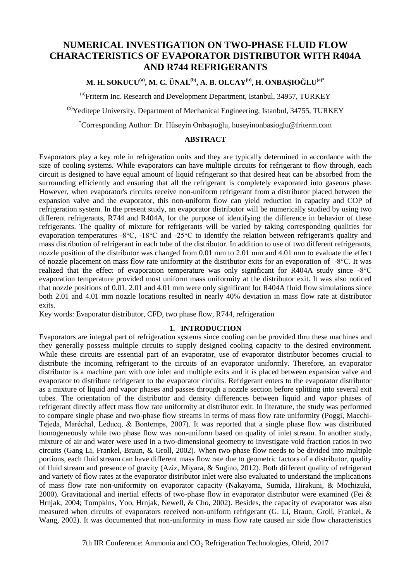# **NUMERICAL INVESTIGATION ON TWO-PHASE FLUID FLOW CHARACTERISTICS OF EVAPORATOR DISTRIBUTOR WITH R404A AND R744 REFRIGERANTS**

# **M. H. SOKUCU(a), M. C. ÜNAL(b), A. B. OLCAY(b), H. ONBAŞIOĞLU(a)\***

(a)Friterm Inc. Research and Development Department, Istanbul, 34957, TURKEY

(b)Yeditepe University, Department of Mechanical Engineering, Istanbul, 34755, TURKEY

\*Corresponding Author: Dr. Hüseyin Onbaşıoğlu, huseyinonbasioglu@friterm.com

#### **ABSTRACT**

Evaporators play a key role in refrigeration units and they are typically determined in accordance with the size of cooling systems. While evaporators can have multiple circuits for refrigerant to flow through, each circuit is designed to have equal amount of liquid refrigerant so that desired heat can be absorbed from the surrounding efficiently and ensuring that all the refrigerant is completely evaporated into gaseous phase. However, when evaporator's circuits receive non-uniform refrigerant from a distributor placed between the expansion valve and the evaporator, this non-uniform flow can yield reduction in capacity and COP of refrigeration system. In the present study, an evaporator distributor will be numerically studied by using two different refrigerants, R744 and R404A, for the purpose of identifying the difference in behavior of these refrigerants. The quality of mixture for refrigerants will be varied by taking corresponding qualities for evaporation temperatures -8°C, -18°C and -25°C to identify the relation between refrigerant's quality and mass distribution of refrigerant in each tube of the distributor. In addition to use of two different refrigerants, nozzle position of the distributor was changed from 0.01 mm to 2.01 mm and 4.01 mm to evaluate the effect of nozzle placement on mass flow rate uniformity at the distributor exits for an evaporation of -8°C. It was realized that the effect of evaporation temperature was only significant for R404A study since -8°C evaporation temperature provided most uniform mass uniformity at the distributor exit. It was also noticed that nozzle positions of 0.01, 2.01 and 4.01 mm were only significant for R404A fluid flow simulations since both 2.01 and 4.01 mm nozzle locations resulted in nearly 40% deviation in mass flow rate at distributor exits.

Key words: Evaporator distributor, CFD, two phase flow, R744, refrigeration

#### **1. INTRODUCTION**

Evaporators are integral part of refrigeration systems since cooling can be provided thru these machines and they generally possess multiple circuits to supply designed cooling capacity to the desired environment. While these circuits are essential part of an evaporator, use of evaporator distributor becomes crucial to distribute the incoming refrigerant to the circuits of an evaporator uniformly. Therefore, an evaporator distributor is a machine part with one inlet and multiple exits and it is placed between expansion valve and evaporator to distribute refrigerant to the evaporator circuits. Refrigerant enters to the evaporator distributor as a mixture of liquid and vapor phases and passes through a nozzle section before splitting into several exit tubes. The orientation of the distributor and density differences between liquid and vapor phases of refrigerant directly affect mass flow rate uniformity at distributor exit. In literature, the study was performed to compare single phase and two-phase flow streams in terms of mass flow rate uniformity (Poggi, Macchi-Tejeda, Maréchal, Leducq, & Bontemps, 2007). It was reported that a single phase flow was distributed homogeneously while two phase flow was non-uniform based on quality of inlet stream. In another study, mixture of air and water were used in a two-dimensional geometry to investigate void fraction ratios in two circuits (Gang Li, Frankel, Braun, & Groll, 2002). When two-phase flow needs to be divided into multiple portions, each fluid stream can have different mass flow rate due to geometric factors of a distributor, quality of fluid stream and presence of gravity (Aziz, Miyara, & Sugino, 2012). Both different quality of refrigerant and variety of flow rates at the evaporator distributor inlet were also evaluated to understand the implications of mass flow rate non-uniformity on evaporator capacity (Nakayama, Sumida, Hirakuni, & Mochizuki, 2000). Gravitational and inertial effects of two-phase flow in evaporator distributor were examined (Fei & Hrnjak, 2004; Tompkins, Yoo, Hrnjak, Newell, & Cho, 2002). Besides, the capacity of evaporator was also measured when circuits of evaporators received non-uniform refrigerant (G. Li, Braun, Groll, Frankel, & Wang, 2002). It was documented that non-uniformity in mass flow rate caused air side flow characteristics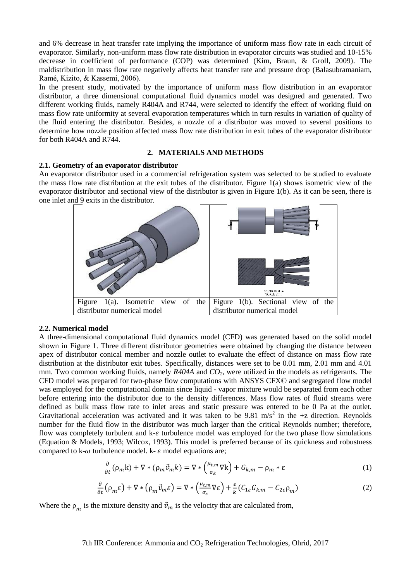and 6% decrease in heat transfer rate implying the importance of uniform mass flow rate in each circuit of evaporator. Similarly, non-uniform mass flow rate distribution in evaporator circuits was studied and 10-15% decrease in coefficient of performance (COP) was determined (Kim, Braun, & Groll, 2009). The maldistribution in mass flow rate negatively affects heat transfer rate and pressure drop (Balasubramaniam, Ramé, Kizito, & Kassemi, 2006).

In the present study, motivated by the importance of uniform mass flow distribution in an evaporator distributor, a three dimensional computational fluid dynamics model was designed and generated. Two different working fluids, namely R404A and R744, were selected to identify the effect of working fluid on mass flow rate uniformity at several evaporation temperatures which in turn results in variation of quality of the fluid entering the distributor. Besides, a nozzle of a distributor was moved to several positions to determine how nozzle position affected mass flow rate distribution in exit tubes of the evaporator distributor for both R404A and R744.

#### **2. MATERIALS AND METHODS**

#### **2.1. Geometry of an evaporator distributor**

An evaporator distributor used in a commercial refrigeration system was selected to be studied to evaluate the mass flow rate distribution at the exit tubes of the distributor. Figure 1(a) shows isometric view of the evaporator distributor and sectional view of the distributor is given in Figure 1(b). As it can be seen, there is one inlet and 9 exits in the distributor.



# **2.2. Numerical model**

A three-dimensional computational fluid dynamics model (CFD) was generated based on the solid model shown in Figure 1. Three different distributor geometries were obtained by changing the distance between apex of distributor conical member and nozzle outlet to evaluate the effect of distance on mass flow rate distribution at the distributor exit tubes. Specifically, distances were set to be 0.01 mm, 2.01 mm and 4.01 mm. Two common working fluids, namely *R404A* and *CO2,* were utilized in the models as refrigerants. The CFD model was prepared for two-phase flow computations with ANSYS CFX© and segregated flow model was employed for the computational domain since liquid - vapor mixture would be separated from each other before entering into the distributor due to the density differences. Mass flow rates of fluid streams were defined as bulk mass flow rate to inlet areas and static pressure was entered to be 0 Pa at the outlet. Gravitational acceleration was activated and it was taken to be 9.81 m/s<sup>2</sup> in the +z direction. Reynolds number for the fluid flow in the distributor was much larger than the critical Reynolds number; therefore, flow was completely turbulent and  $k-\epsilon$  turbulence model was employed for the two phase flow simulations (Equation & Models, 1993; Wilcox, 1993). This model is preferred because of its quickness and robustness compared to k- $\omega$  turbulence model. k-  $\varepsilon$  model equations are:

$$
\frac{\partial}{\partial t}(\rho_m k) + \nabla * (\rho_m \vec{\nu}_m k) = \nabla * \left(\frac{\mu_{t,m}}{\sigma_k} \nabla k\right) + G_{k,m} - \rho_m * \varepsilon \tag{1}
$$

$$
\frac{\partial}{\partial t} \left( \rho_m \varepsilon \right) + \nabla \ast \left( \rho_m \vec{v}_m \varepsilon \right) = \nabla \ast \left( \frac{\mu_{t,m}}{\sigma_{\varepsilon}} \nabla \varepsilon \right) + \frac{\varepsilon}{k} \left( C_{1\varepsilon} G_{k,m} - C_{2\varepsilon} \rho_m \right) \tag{2}
$$

Where the  $\rho_m$  is the mixture density and  $\vec{v}_m$  is the velocity that are calculated from,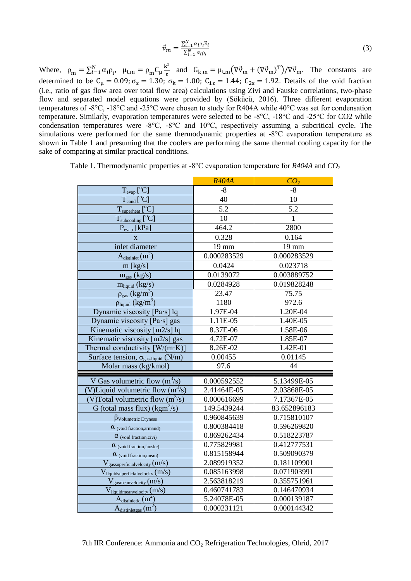$$
\vec{\nu}_m = \frac{\sum_{i=1}^N \alpha_i \rho_i \vec{\nu}_i}{\sum_{i=1}^N \alpha_i \rho_i} \tag{3}
$$

Where,  $\rho_m = \sum_{i=1}^{N} \alpha_i \rho_i$ ,  $\mu_{t,m} = \rho_m C_\mu \frac{k^2}{\varepsilon}$  $\frac{\epsilon^2}{\epsilon}$  and  $G_{k,m} = \mu_{t,m} (\nabla \vec{v}_m + (\nabla \vec{v}_m)^T) / (\nabla \vec{v}_m)$ . The constants are determined to be  $C_{\mu} = 0.09$ ;  $\sigma_{\epsilon} = 1.30$ ;  $\sigma_{k} = 1.00$ ;  $C_{1\epsilon} = 1.44$ ;  $C_{2\epsilon} = 1.92$ . Details of the void fraction (i.e., ratio of gas flow area over total flow area) calculations using Zivi and Fauske correlations, two-phase flow and separated model equations were provided by (Sökücü, 2016). Three different evaporation temperatures of -8°C, -18°C and -25°C were chosen to study for R404A while 40°C was set for condensation temperature. Similarly, evaporation temperatures were selected to be -8°C, -18°C and -25°C for CO2 while condensation temperatures were  $-8^{\circ}C$ ,  $-8^{\circ}C$  and  $10^{\circ}C$ , respectively assuming a subcritical cycle. The simulations were performed for the same thermodynamic properties at -8°C evaporation temperature as shown in Table 1 and presuming that the coolers are performing the same thermal cooling capacity for the sake of comparing at similar practical conditions.

|                                                        | <b>R404A</b> | CO <sub>2</sub> |
|--------------------------------------------------------|--------------|-----------------|
| $T_{evap}$ <sup>[o</sup> C]                            | $-8$         | $-8$            |
| $T_{cond}[^{o}C]$                                      | 40           | 10              |
| $T_{superheat}$ [ $^{\circ}$ C]                        | 5.2          | 5.2             |
| $T_{\text{subcooling}}[^{\circ}C]$                     | 10           | $\mathbf{1}$    |
| $P_{evap}$ [kPa]                                       | 464.2        | 2800            |
| $\mathbf{X}$                                           | 0.328        | 0.164           |
| inlet diameter                                         | 19 mm        | $19 \text{ mm}$ |
| $A_{\text{distinct}}(m^2)$                             | 0.000283529  | 0.000283529     |
| $m$ [kg/s]                                             | 0.0424       | 0.023718        |
| $m_{gas}$ (kg/s)                                       | 0.0139072    | 0.003889752     |
| $m_{liquid} (kg/s)$                                    | 0.0284928    | 0.019828248     |
| $\rho_{\rm gas}$ (kg/m <sup>3</sup> )                  | 23.47        | 75.75           |
| $\rho_{\text{liquid}}$ (kg/m <sup>3</sup> )            | 1180         | 972.6           |
| Dynamic viscosity [Pa·s] lq                            | 1.97E-04     | 1.20E-04        |
| Dynamic viscosity [Pa·s] gas                           | 1.11E-05     | 1.40E-05        |
| Kinematic viscosity [m2/s] lq                          | 8.37E-06     | 1.58E-06        |
| Kinematic viscosity [m2/s] gas                         | 4.72E-07     | 1.85E-07        |
| Thermal conductivity $[W/(m \cdot K)]$                 | 8.26E-02     | 1.42E-01        |
| Surface tension, $\sigma_{\text{gas-liquid}}$ (N/m)    | 0.00455      | 0.01145         |
| Molar mass (kg/kmol)                                   | 97.6         | 44              |
| V Gas volumetric flow $(m^3/s)$                        | 0.000592552  | 5.13499E-05     |
| (V)Liquid volumetric flow $(m^3/s)$                    | 2.41464E-05  | 2.03868E-05     |
| (V)Total volumetric flow $(m^3/s)$                     | 0.000616699  | 7.17367E-05     |
| G (total mass flux) ( $\text{kgm}^2/\text{s}$ )        | 149.5439244  | 83.652896183    |
| $\beta_{\text{Volumetric Dryness}}$                    | 0.960845639  | 0.715810107     |
| $\alpha$ (void fraction, armand)                       | 0.800384418  | 0.596269820     |
| $\alpha$ (void fraction, zivi)                         | 0.869262434  | 0.518223787     |
| $\alpha$ (void fraction, fauske)                       | 0.775829981  | 0.412777531     |
| $\alpha$ (void fraction, mean)                         | 0.815158944  | 0.509090379     |
| $V_{\text{gasuperficialvelocity}} (m/s)$               | 2.089919352  | 0.181109901     |
| $V_{\text{liquidsuperficialvelocity}}\left(m/s\right)$ | 0.085163998  | 0.071903991     |
| $V_{\text{gas}$ mean velocity $(m/s)$                  | 2.563818219  | 0.355751961     |
| $V_{liquidmean velocity}$ (m/s)                        | 0.460741783  | 0.146470934     |
| $A_{\text{distributed}}(m^2)$                          | 5.24078E-05  | 0.000139187     |
| $A_{\text{distributed gas}} (m^2)$                     | 0.000231121  | 0.000144342     |

Table 1. Thermodynamic properties at -8°C evaporation temperature for *R404A* and *CO<sup>2</sup>*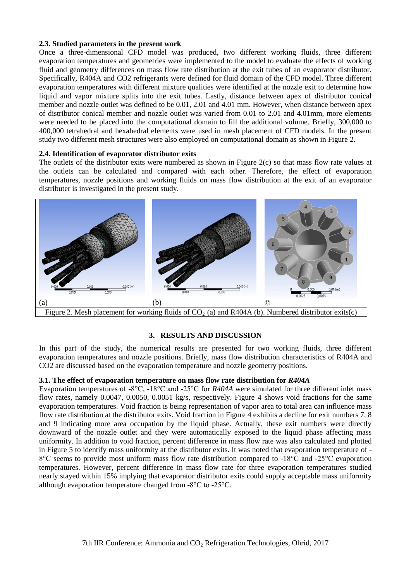# **2.3. Studied parameters in the present work**

Once a three-dimensional CFD model was produced, two different working fluids, three different evaporation temperatures and geometries were implemented to the model to evaluate the effects of working fluid and geometry differences on mass flow rate distribution at the exit tubes of an evaporator distributor. Specifically, R404A and CO2 refrigerants were defined for fluid domain of the CFD model. Three different evaporation temperatures with different mixture qualities were identified at the nozzle exit to determine how liquid and vapor mixture splits into the exit tubes. Lastly, distance between apex of distributor conical member and nozzle outlet was defined to be 0.01, 2.01 and 4.01 mm. However, when distance between apex of distributor conical member and nozzle outlet was varied from 0.01 to 2.01 and 4.01mm, more elements were needed to be placed into the computational domain to fill the additional volume. Briefly, 300,000 to 400,000 tetrahedral and hexahedral elements were used in mesh placement of CFD models. In the present study two different mesh structures were also employed on computational domain as shown in Figure 2.

# **2.4. Identification of evaporator distributor exits**

The outlets of the distributor exits were numbered as shown in Figure 2(c) so that mass flow rate values at the outlets can be calculated and compared with each other. Therefore, the effect of evaporation temperatures, nozzle positions and working fluids on mass flow distribution at the exit of an evaporator distributer is investigated in the present study.



# **3. RESULTS AND DISCUSSION**

In this part of the study, the numerical results are presented for two working fluids, three different evaporation temperatures and nozzle positions. Briefly, mass flow distribution characteristics of R404A and CO2 are discussed based on the evaporation temperature and nozzle geometry positions.

# **3.1. The effect of evaporation temperature on mass flow rate distribution for** *R404A*

Evaporation temperatures of -8°C, -18°C and -25°C for *R404A* were simulated for three different inlet mass flow rates, namely 0.0047, 0.0050, 0.0051 kg/s, respectively. Figure 4 shows void fractions for the same evaporation temperatures. Void fraction is being representation of vapor area to total area can influence mass flow rate distribution at the distributor exits. Void fraction in Figure 4 exhibits a decline for exit numbers 7, 8 and 9 indicating more area occupation by the liquid phase. Actually, these exit numbers were directly downward of the nozzle outlet and they were automatically exposed to the liquid phase affecting mass uniformity. In addition to void fraction, percent difference in mass flow rate was also calculated and plotted in Figure 5 to identify mass uniformity at the distributor exits. It was noted that evaporation temperature of - 8°C seems to provide most uniform mass flow rate distribution compared to -18°C and -25°C evaporation temperatures. However, percent difference in mass flow rate for three evaporation temperatures studied nearly stayed within 15% implying that evaporator distributor exits could supply acceptable mass uniformity although evaporation temperature changed from -8°C to -25°C.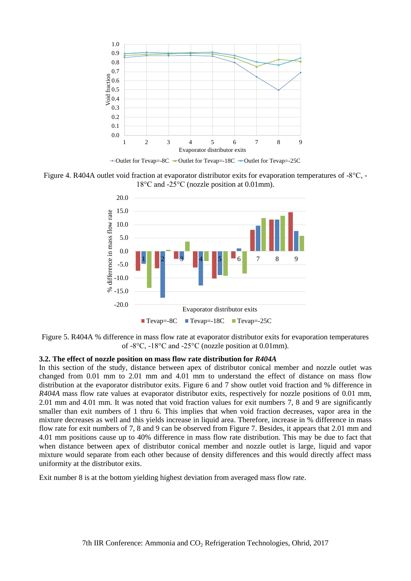

Figure 4. R404A outlet void fraction at evaporator distributor exits for evaporation temperatures of -8°C, - 18°C and -25°C (nozzle position at 0.01mm).



Figure 5. R404A % difference in mass flow rate at evaporator distributor exits for evaporation temperatures of -8°C, -18°C and -25°C (nozzle position at 0.01mm).

#### **3.2. The effect of nozzle position on mass flow rate distribution for** *R404A*

In this section of the study, distance between apex of distributor conical member and nozzle outlet was changed from 0.01 mm to 2.01 mm and 4.01 mm to understand the effect of distance on mass flow distribution at the evaporator distributor exits. Figure 6 and 7 show outlet void fraction and % difference in *R404A* mass flow rate values at evaporator distributor exits, respectively for nozzle positions of 0.01 mm, 2.01 mm and 4.01 mm. It was noted that void fraction values for exit numbers 7, 8 and 9 are significantly smaller than exit numbers of 1 thru 6. This implies that when void fraction decreases, vapor area in the mixture decreases as well and this yields increase in liquid area. Therefore, increase in % difference in mass flow rate for exit numbers of 7, 8 and 9 can be observed from Figure 7. Besides, it appears that 2.01 mm and 4.01 mm positions cause up to 40% difference in mass flow rate distribution. This may be due to fact that when distance between apex of distributor conical member and nozzle outlet is large, liquid and vapor mixture would separate from each other because of density differences and this would directly affect mass uniformity at the distributor exits.

Exit number 8 is at the bottom yielding highest deviation from averaged mass flow rate.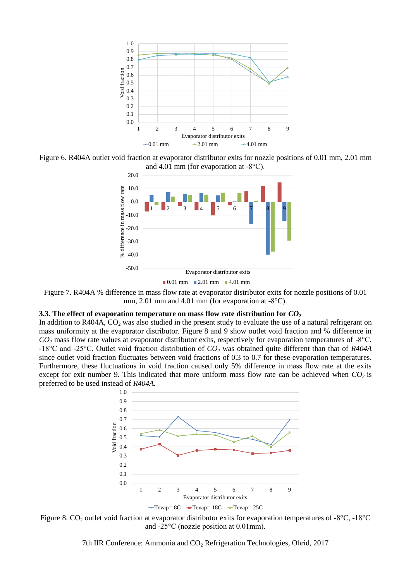

Figure 6. R404A outlet void fraction at evaporator distributor exits for nozzle positions of 0.01 mm, 2.01 mm and 4.01 mm (for evaporation at -8°C).



Figure 7. R404A % difference in mass flow rate at evaporator distributor exits for nozzle positions of 0.01 mm, 2.01 mm and 4.01 mm (for evaporation at -8°C).

# **3.3. The effect of evaporation temperature on mass flow rate distribution for**  $CO<sub>2</sub>$

In addition to R404A,  $CO_2$  was also studied in the present study to evaluate the use of a natural refrigerant on mass uniformity at the evaporator distributor. Figure 8 and 9 show outlet void fraction and % difference in  $CO<sub>2</sub>$  mass flow rate values at evaporator distributor exits, respectively for evaporation temperatures of -8 $\degree$ C, -18°C and -25°C. Outlet void fraction distribution of *CO<sup>2</sup>* was obtained quite different than that of *R404A* since outlet void fraction fluctuates between void fractions of 0.3 to 0.7 for these evaporation temperatures. Furthermore, these fluctuations in void fraction caused only 5% difference in mass flow rate at the exits except for exit number 9. This indicated that more uniform mass flow rate can be achieved when  $CO<sub>2</sub>$  is preferred to be used instead of *R404A.*



Figure 8.  $CO_2$  outlet void fraction at evaporator distributor exits for evaporation temperatures of -8°C, -18°C and -25°C (nozzle position at 0.01mm).

7th IIR Conference: Ammonia and  $CO<sub>2</sub>$  Refrigeration Technologies, Ohrid, 2017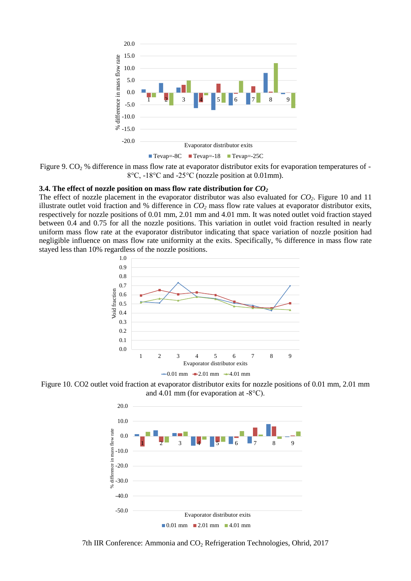

Figure 9.  $CO<sub>2</sub>$ % difference in mass flow rate at evaporator distributor exits for evaporation temperatures of -8°C, -18°C and -25°C (nozzle position at 0.01mm).

#### **3.4. The effect of nozzle position on mass flow rate distribution for** *CO<sup>2</sup>*

The effect of nozzle placement in the evaporator distributor was also evaluated for *CO2*. Figure 10 and 11 illustrate outlet void fraction and % difference in *CO<sup>2</sup>* mass flow rate values at evaporator distributor exits, respectively for nozzle positions of 0.01 mm, 2.01 mm and 4.01 mm. It was noted outlet void fraction stayed between 0.4 and 0.75 for all the nozzle positions. This variation in outlet void fraction resulted in nearly uniform mass flow rate at the evaporator distributor indicating that space variation of nozzle position had negligible influence on mass flow rate uniformity at the exits. Specifically, % difference in mass flow rate stayed less than 10% regardless of the nozzle positions.



Figure 10. CO2 outlet void fraction at evaporator distributor exits for nozzle positions of 0.01 mm, 2.01 mm and 4.01 mm (for evaporation at -8°C).



7th IIR Conference: Ammonia and CO<sub>2</sub> Refrigeration Technologies, Ohrid, 2017